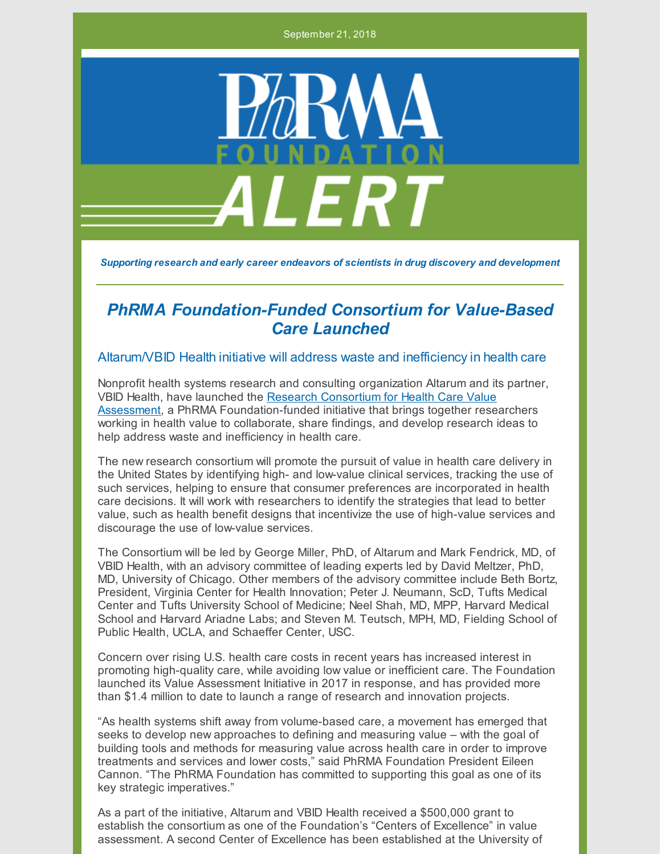September 21, 2018



*Supporting research and early career endeavors of scientists in drug discovery and development*

## *PhRMA Foundation-Funded Consortium for Value-Based Care Launched*

## Altarum/VBID Health initiative will address waste and inefficiency in health care

Nonprofit health systems research and consulting organization Altarum and its partner, VBID Health, have launched the Research Consortium for Health Care Value Assessment, a PhRMA [Foundation-funded](http://www.hcvalueassessment.org) initiative that brings together researchers working in health value to collaborate, share findings, and develop research ideas to help address waste and inefficiency in health care.

The new research consortium will promote the pursuit of value in health care delivery in the United States by identifying high- and low-value clinical services, tracking the use of such services, helping to ensure that consumer preferences are incorporated in health care decisions. It will work with researchers to identify the strategies that lead to better value, such as health benefit designs that incentivize the use of high-value services and discourage the use of low-value services.

The Consortium will be led by George Miller, PhD, of Altarum and Mark Fendrick, MD, of VBID Health, with an advisory committee of leading experts led by David Meltzer, PhD, MD, University of Chicago. Other members of the advisory committee include Beth Bortz, President, Virginia Center for Health Innovation; Peter J. Neumann, ScD, Tufts Medical Center and Tufts University School of Medicine; Neel Shah, MD, MPP, Harvard Medical School and Harvard Ariadne Labs; and Steven M. Teutsch, MPH, MD, Fielding School of Public Health, UCLA, and Schaeffer Center, USC.

Concern over rising U.S. health care costs in recent years has increased interest in promoting high-quality care, while avoiding low value or inefficient care. The Foundation launched its Value Assessment Initiative in 2017 in response, and has provided more than \$1.4 million to date to launch a range of research and innovation projects.

"As health systems shift away from volume-based care, a movement has emerged that seeks to develop new approaches to defining and measuring value – with the goal of building tools and methods for measuring value across health care in order to improve treatments and services and lower costs," said PhRMA Foundation President Eileen Cannon. "The PhRMA Foundation has committed to supporting this goal as one of its key strategic imperatives."

As a part of the initiative, Altarum and VBID Health received a \$500,000 grant to establish the consortium as one of the Foundation's "Centers of Excellence" in value assessment. A second Center of Excellence has been established at the University of